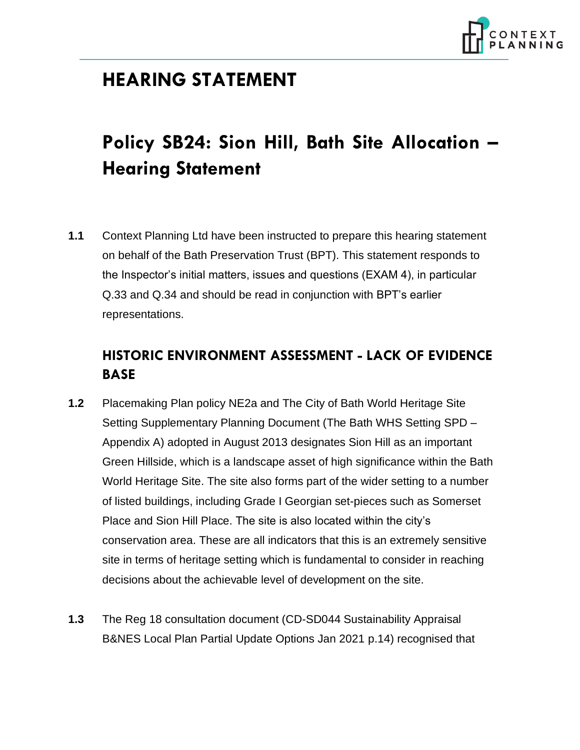

## **HEARING STATEMENT**

# **Policy SB24: Sion Hill, Bath Site Allocation – Hearing Statement**

**1.1** Context Planning Ltd have been instructed to prepare this hearing statement on behalf of the Bath Preservation Trust (BPT). This statement responds to the Inspector's initial matters, issues and questions (EXAM 4), in particular Q.33 and Q.34 and should be read in conjunction with BPT's earlier representations.

## **HISTORIC ENVIRONMENT ASSESSMENT - LACK OF EVIDENCE BASE**

- **1.2** Placemaking Plan policy NE2a and The City of Bath World Heritage Site Setting Supplementary Planning Document (The Bath WHS Setting SPD – Appendix A) adopted in August 2013 designates Sion Hill as an important Green Hillside, which is a landscape asset of high significance within the Bath World Heritage Site. The site also forms part of the wider setting to a number of listed buildings, including Grade I Georgian set-pieces such as Somerset Place and Sion Hill Place. The site is also located within the city's conservation area. These are all indicators that this is an extremely sensitive site in terms of heritage setting which is fundamental to consider in reaching decisions about the achievable level of development on the site.
- **1.3** The Reg 18 consultation document (CD-SD044 Sustainability Appraisal B&NES Local Plan Partial Update Options Jan 2021 p.14) recognised that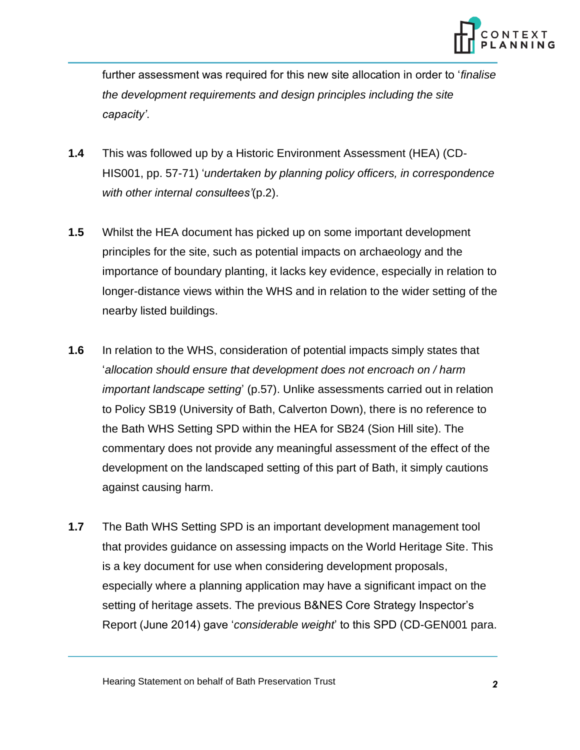

further assessment was required for this new site allocation in order to '*finalise the development requirements and design principles including the site capacity'*.

- **1.4** This was followed up by a Historic Environment Assessment (HEA) (CD-HIS001, pp. 57-71) '*undertaken by planning policy officers, in correspondence with other internal consultees'*(p.2).
- **1.5** Whilst the HEA document has picked up on some important development principles for the site, such as potential impacts on archaeology and the importance of boundary planting, it lacks key evidence, especially in relation to longer-distance views within the WHS and in relation to the wider setting of the nearby listed buildings.
- **1.6** In relation to the WHS, consideration of potential impacts simply states that '*allocation should ensure that development does not encroach on / harm important landscape setting*' (p.57). Unlike assessments carried out in relation to Policy SB19 (University of Bath, Calverton Down), there is no reference to the Bath WHS Setting SPD within the HEA for SB24 (Sion Hill site). The commentary does not provide any meaningful assessment of the effect of the development on the landscaped setting of this part of Bath, it simply cautions against causing harm.
- **1.7** The Bath WHS Setting SPD is an important development management tool that provides guidance on assessing impacts on the World Heritage Site. This is a key document for use when considering development proposals, especially where a planning application may have a significant impact on the setting of heritage assets. The previous B&NES Core Strategy Inspector's Report (June 2014) gave '*considerable weight*' to this SPD (CD-GEN001 para.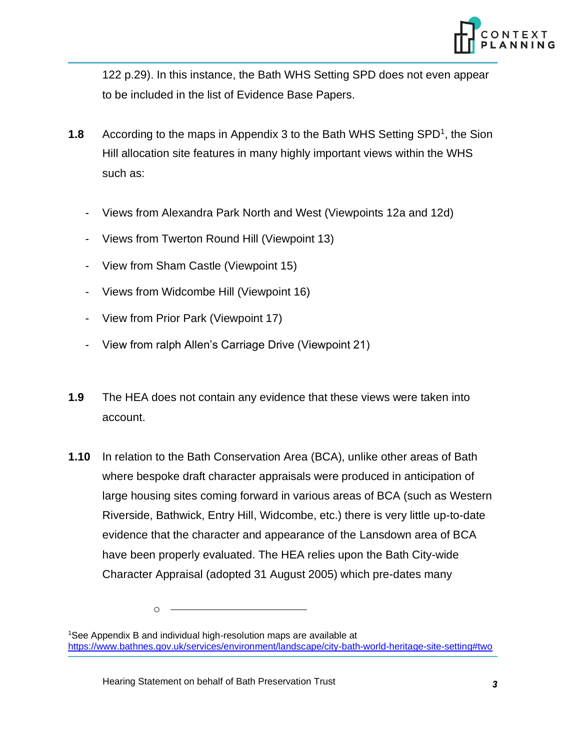

122 p.29). In this instance, the Bath WHS Setting SPD does not even appear to be included in the list of Evidence Base Papers.

- **1.8** According to the maps in Appendix 3 to the Bath WHS Setting SPD<sup>1</sup>, the Sion Hill allocation site features in many highly important views within the WHS such as:
	- Views from Alexandra Park North and West (Viewpoints 12a and 12d)
	- Views from Twerton Round Hill (Viewpoint 13)
	- View from Sham Castle (Viewpoint 15)
	- Views from Widcombe Hill (Viewpoint 16)
	- View from Prior Park (Viewpoint 17)
	- View from ralph Allen's Carriage Drive (Viewpoint 21)
- **1.9** The HEA does not contain any evidence that these views were taken into account.
- **1.10** In relation to the Bath Conservation Area (BCA), unlike other areas of Bath where bespoke draft character appraisals were produced in anticipation of large housing sites coming forward in various areas of BCA (such as Western Riverside, Bathwick, Entry Hill, Widcombe, etc.) there is very little up-to-date evidence that the character and appearance of the Lansdown area of BCA have been properly evaluated. The HEA relies upon the Bath City-wide Character Appraisal (adopted 31 August 2005) which pre-dates many

o

<sup>&</sup>lt;sup>1</sup>See Appendix B and individual high-resolution maps are available at <https://www.bathnes.gov.uk/services/environment/landscape/city-bath-world-heritage-site-setting#two>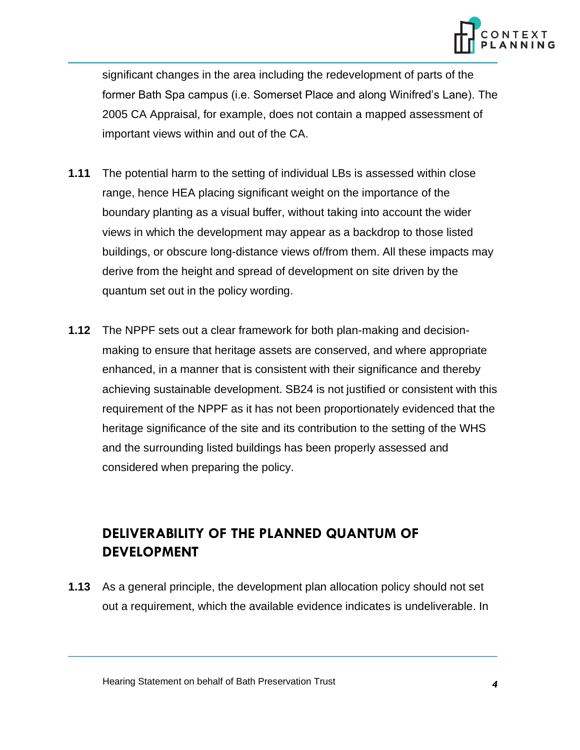

significant changes in the area including the redevelopment of parts of the former Bath Spa campus (i.e. Somerset Place and along Winifred's Lane). The 2005 CA Appraisal, for example, does not contain a mapped assessment of important views within and out of the CA.

- **1.11** The potential harm to the setting of individual LBs is assessed within close range, hence HEA placing significant weight on the importance of the boundary planting as a visual buffer, without taking into account the wider views in which the development may appear as a backdrop to those listed buildings, or obscure long-distance views of/from them. All these impacts may derive from the height and spread of development on site driven by the quantum set out in the policy wording.
- **1.12** The NPPF sets out a clear framework for both plan-making and decisionmaking to ensure that heritage assets are conserved, and where appropriate enhanced, in a manner that is consistent with their significance and thereby achieving sustainable development. SB24 is not justified or consistent with this requirement of the NPPF as it has not been proportionately evidenced that the heritage significance of the site and its contribution to the setting of the WHS and the surrounding listed buildings has been properly assessed and considered when preparing the policy.

## **DELIVERABILITY OF THE PLANNED QUANTUM OF DEVELOPMENT**

**1.13** As a general principle, the development plan allocation policy should not set out a requirement, which the available evidence indicates is undeliverable. In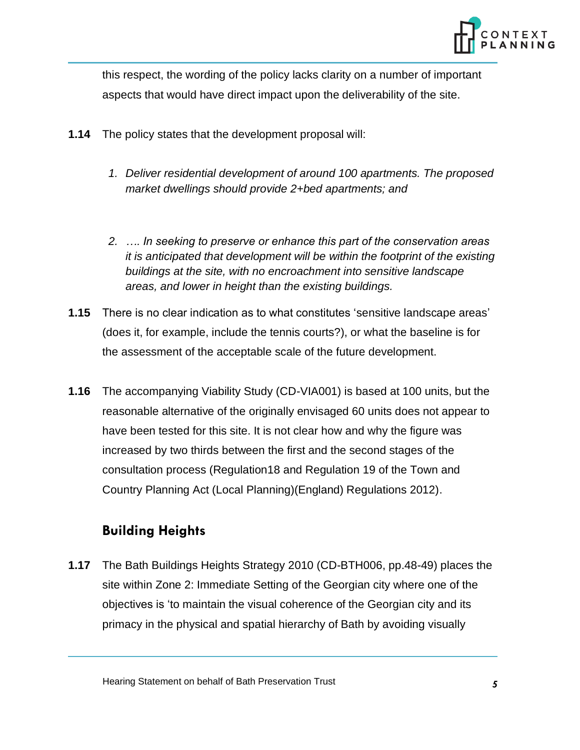

this respect, the wording of the policy lacks clarity on a number of important aspects that would have direct impact upon the deliverability of the site.

- **1.14** The policy states that the development proposal will:
	- *1. Deliver residential development of around 100 apartments. The proposed market dwellings should provide 2+bed apartments; and*
	- *2. …. In seeking to preserve or enhance this part of the conservation areas it is anticipated that development will be within the footprint of the existing buildings at the site, with no encroachment into sensitive landscape areas, and lower in height than the existing buildings.*
- **1.15** There is no clear indication as to what constitutes 'sensitive landscape areas' (does it, for example, include the tennis courts?), or what the baseline is for the assessment of the acceptable scale of the future development.
- **1.16** The accompanying Viability Study (CD-VIA001) is based at 100 units, but the reasonable alternative of the originally envisaged 60 units does not appear to have been tested for this site. It is not clear how and why the figure was increased by two thirds between the first and the second stages of the consultation process (Regulation18 and Regulation 19 of the Town and Country Planning Act (Local Planning)(England) Regulations 2012).

#### **Building Heights**

**1.17** The Bath Buildings Heights Strategy 2010 (CD-BTH006, pp.48-49) places the site within Zone 2: Immediate Setting of the Georgian city where one of the objectives is 'to maintain the visual coherence of the Georgian city and its primacy in the physical and spatial hierarchy of Bath by avoiding visually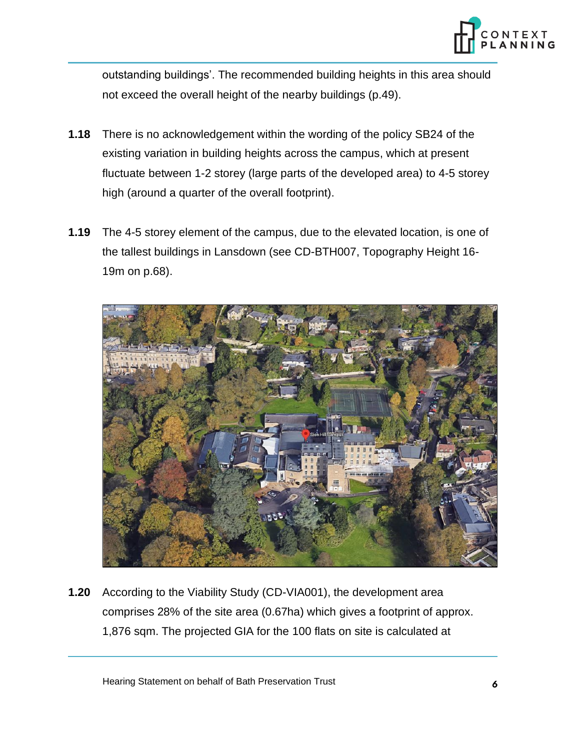

outstanding buildings'. The recommended building heights in this area should not exceed the overall height of the nearby buildings (p.49).

- **1.18** There is no acknowledgement within the wording of the policy SB24 of the existing variation in building heights across the campus, which at present fluctuate between 1-2 storey (large parts of the developed area) to 4-5 storey high (around a quarter of the overall footprint).
- **1.19** The 4-5 storey element of the campus, due to the elevated location, is one of the tallest buildings in Lansdown (see CD-BTH007, Topography Height 16- 19m on p.68).



**1.20** According to the Viability Study (CD-VIA001), the development area comprises 28% of the site area (0.67ha) which gives a footprint of approx. 1,876 sqm. The projected GIA for the 100 flats on site is calculated at

Hearing Statement on behalf of Bath Preservation Trust *6*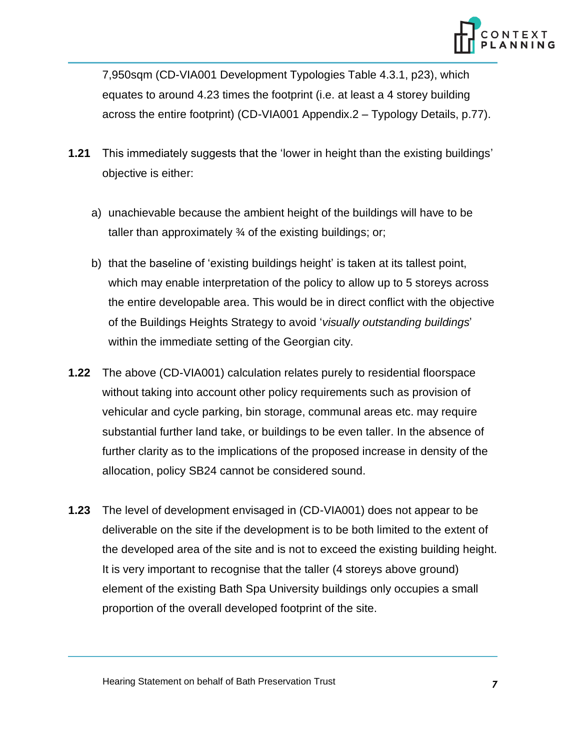

7,950sqm (CD-VIA001 Development Typologies Table 4.3.1, p23), which equates to around 4.23 times the footprint (i.e. at least a 4 storey building across the entire footprint) (CD-VIA001 Appendix.2 – Typology Details, p.77).

- **1.21** This immediately suggests that the 'lower in height than the existing buildings' objective is either:
	- a) unachievable because the ambient height of the buildings will have to be taller than approximately ¾ of the existing buildings; or;
	- b) that the baseline of 'existing buildings height' is taken at its tallest point, which may enable interpretation of the policy to allow up to 5 storeys across the entire developable area. This would be in direct conflict with the objective of the Buildings Heights Strategy to avoid '*visually outstanding buildings*' within the immediate setting of the Georgian city.
- **1.22** The above (CD-VIA001) calculation relates purely to residential floorspace without taking into account other policy requirements such as provision of vehicular and cycle parking, bin storage, communal areas etc. may require substantial further land take, or buildings to be even taller. In the absence of further clarity as to the implications of the proposed increase in density of the allocation, policy SB24 cannot be considered sound.
- **1.23** The level of development envisaged in (CD-VIA001) does not appear to be deliverable on the site if the development is to be both limited to the extent of the developed area of the site and is not to exceed the existing building height. It is very important to recognise that the taller (4 storeys above ground) element of the existing Bath Spa University buildings only occupies a small proportion of the overall developed footprint of the site.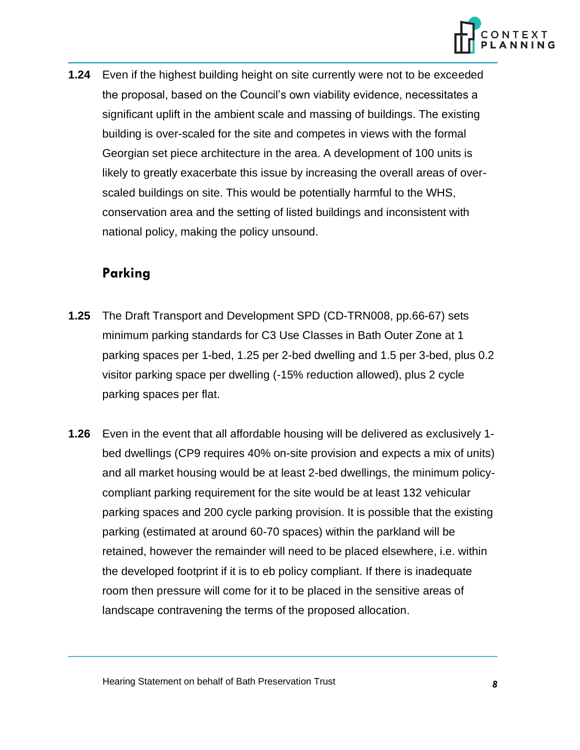

**1.24** Even if the highest building height on site currently were not to be exceeded the proposal, based on the Council's own viability evidence, necessitates a significant uplift in the ambient scale and massing of buildings. The existing building is over-scaled for the site and competes in views with the formal Georgian set piece architecture in the area. A development of 100 units is likely to greatly exacerbate this issue by increasing the overall areas of overscaled buildings on site. This would be potentially harmful to the WHS, conservation area and the setting of listed buildings and inconsistent with national policy, making the policy unsound.

#### **Parking**

- **1.25** The Draft Transport and Development SPD (CD-TRN008, pp.66-67) sets minimum parking standards for C3 Use Classes in Bath Outer Zone at 1 parking spaces per 1-bed, 1.25 per 2-bed dwelling and 1.5 per 3-bed, plus 0.2 visitor parking space per dwelling (-15% reduction allowed), plus 2 cycle parking spaces per flat.
- **1.26** Even in the event that all affordable housing will be delivered as exclusively 1 bed dwellings (CP9 requires 40% on-site provision and expects a mix of units) and all market housing would be at least 2-bed dwellings, the minimum policycompliant parking requirement for the site would be at least 132 vehicular parking spaces and 200 cycle parking provision. It is possible that the existing parking (estimated at around 60-70 spaces) within the parkland will be retained, however the remainder will need to be placed elsewhere, i.e. within the developed footprint if it is to eb policy compliant. If there is inadequate room then pressure will come for it to be placed in the sensitive areas of landscape contravening the terms of the proposed allocation.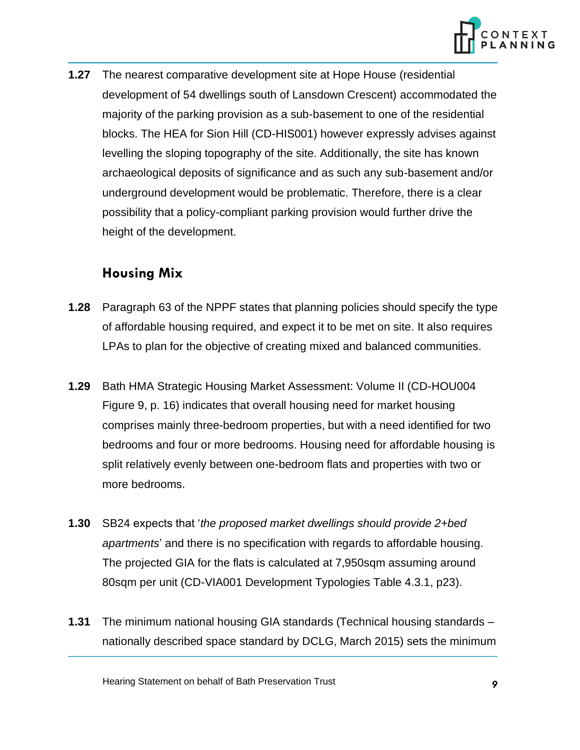

**1.27** The nearest comparative development site at Hope House (residential development of 54 dwellings south of Lansdown Crescent) accommodated the majority of the parking provision as a sub-basement to one of the residential blocks. The HEA for Sion Hill (CD-HIS001) however expressly advises against levelling the sloping topography of the site. Additionally, the site has known archaeological deposits of significance and as such any sub-basement and/or underground development would be problematic. Therefore, there is a clear possibility that a policy-compliant parking provision would further drive the height of the development.

#### **Housing Mix**

- **1.28** Paragraph 63 of the NPPF states that planning policies should specify the type of affordable housing required, and expect it to be met on site. It also requires LPAs to plan for the objective of creating mixed and balanced communities.
- **1.29** Bath HMA Strategic Housing Market Assessment: Volume II (CD-HOU004 Figure 9, p. 16) indicates that overall housing need for market housing comprises mainly three-bedroom properties, but with a need identified for two bedrooms and four or more bedrooms. Housing need for affordable housing is split relatively evenly between one-bedroom flats and properties with two or more bedrooms.
- **1.30** SB24 expects that '*the proposed market dwellings should provide 2+bed apartments*' and there is no specification with regards to affordable housing. The projected GIA for the flats is calculated at 7,950sqm assuming around 80sqm per unit (CD-VIA001 Development Typologies Table 4.3.1, p23).
- **1.31** The minimum national housing GIA standards (Technical housing standards nationally described space standard by DCLG, March 2015) sets the minimum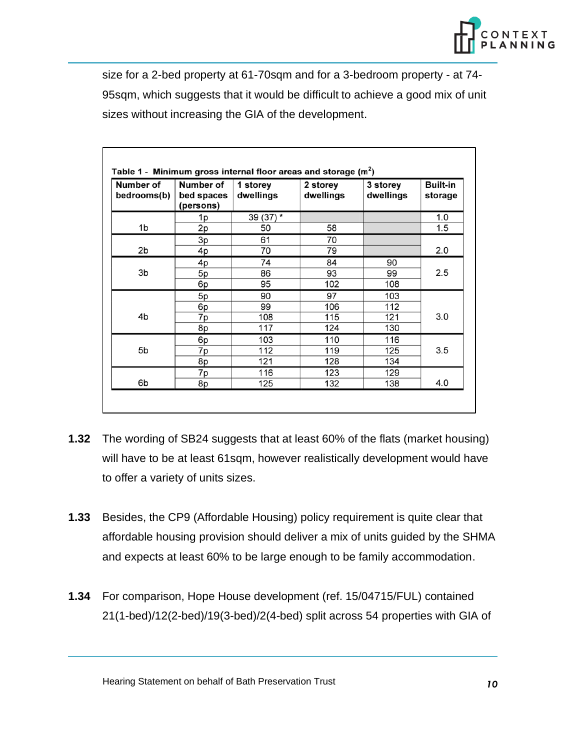

size for a 2-bed property at 61-70sqm and for a 3-bedroom property - at 74- 95sqm, which suggests that it would be difficult to achieve a good mix of unit sizes without increasing the GIA of the development.

| Number of<br>bedrooms(b) | Number of<br>bed spaces<br>(persons) | 1 storey<br>dwellings | 2 storey<br>dwellings | 3 storey<br>dwellings | <b>Built-in</b><br>storage |
|--------------------------|--------------------------------------|-----------------------|-----------------------|-----------------------|----------------------------|
|                          | 1p                                   | 39 (37) *             |                       |                       | 1.0                        |
| 1b                       | 2p                                   | 50                    | 58                    |                       | 1.5                        |
|                          | 3p                                   | 61                    | 70                    |                       |                            |
| 2b                       | 4p                                   | 70                    | 79                    |                       | 2.0                        |
|                          | 4p                                   | 74                    | 84                    | 90                    |                            |
| 3b                       | 5p                                   | 86                    | 93                    | 99                    | 2.5                        |
|                          | 6p                                   | 95                    | 102                   | 108                   |                            |
| 4b<br>5b<br>6b           | 5p                                   | 90                    | 97                    | 103                   | 3.0                        |
|                          | 6p                                   | 99                    | 106                   | 112                   |                            |
|                          | 7p                                   | 108                   | 115                   | 121                   |                            |
|                          | 8p                                   | 117                   | 124                   | 130                   |                            |
|                          | 6p                                   | 103                   | 110                   | 116                   |                            |
|                          | 7p                                   | 112                   | 119                   | 125                   | 3.5                        |
|                          | 8p                                   | 121                   | 128                   | 134                   |                            |
|                          | 7p                                   | 116                   | 123                   | 129                   |                            |
|                          | 8p                                   | 125                   | 132                   | 138                   | 4.0                        |

- **1.32** The wording of SB24 suggests that at least 60% of the flats (market housing) will have to be at least 61sqm, however realistically development would have to offer a variety of units sizes.
- **1.33** Besides, the CP9 (Affordable Housing) policy requirement is quite clear that affordable housing provision should deliver a mix of units guided by the SHMA and expects at least 60% to be large enough to be family accommodation.
- **1.34** For comparison, Hope House development (ref. 15/04715/FUL) contained 21(1-bed)/12(2-bed)/19(3-bed)/2(4-bed) split across 54 properties with GIA of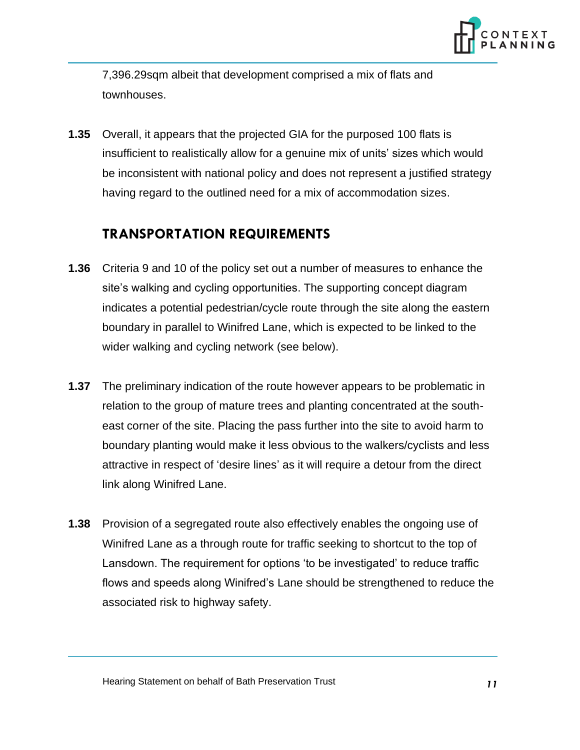

7,396.29sqm albeit that development comprised a mix of flats and townhouses.

**1.35** Overall, it appears that the projected GIA for the purposed 100 flats is insufficient to realistically allow for a genuine mix of units' sizes which would be inconsistent with national policy and does not represent a justified strategy having regard to the outlined need for a mix of accommodation sizes.

#### **TRANSPORTATION REQUIREMENTS**

- **1.36** Criteria 9 and 10 of the policy set out a number of measures to enhance the site's walking and cycling opportunities. The supporting concept diagram indicates a potential pedestrian/cycle route through the site along the eastern boundary in parallel to Winifred Lane, which is expected to be linked to the wider walking and cycling network (see below).
- **1.37** The preliminary indication of the route however appears to be problematic in relation to the group of mature trees and planting concentrated at the southeast corner of the site. Placing the pass further into the site to avoid harm to boundary planting would make it less obvious to the walkers/cyclists and less attractive in respect of 'desire lines' as it will require a detour from the direct link along Winifred Lane.
- **1.38** Provision of a segregated route also effectively enables the ongoing use of Winifred Lane as a through route for traffic seeking to shortcut to the top of Lansdown. The requirement for options 'to be investigated' to reduce traffic flows and speeds along Winifred's Lane should be strengthened to reduce the associated risk to highway safety.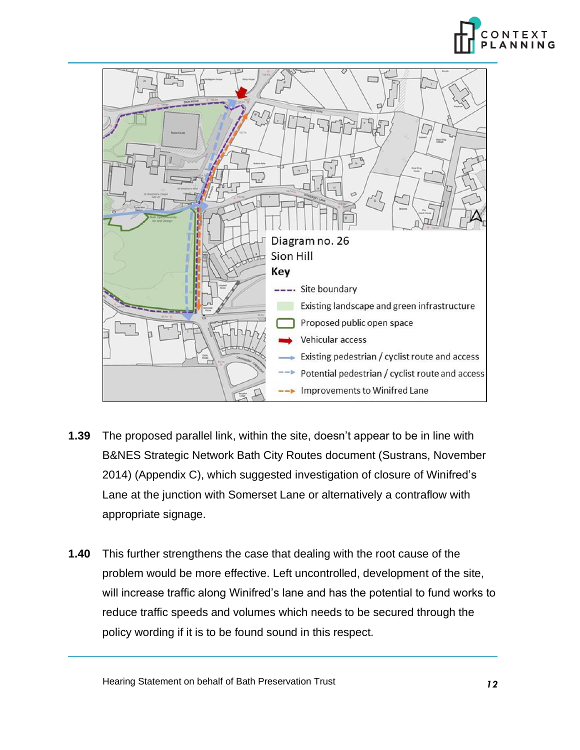



- **1.39** The proposed parallel link, within the site, doesn't appear to be in line with B&NES Strategic Network Bath City Routes document (Sustrans, November 2014) (Appendix C), which suggested investigation of closure of Winifred's Lane at the junction with Somerset Lane or alternatively a contraflow with appropriate signage.
- **1.40** This further strengthens the case that dealing with the root cause of the problem would be more effective. Left uncontrolled, development of the site, will increase traffic along Winifred's lane and has the potential to fund works to reduce traffic speeds and volumes which needs to be secured through the policy wording if it is to be found sound in this respect.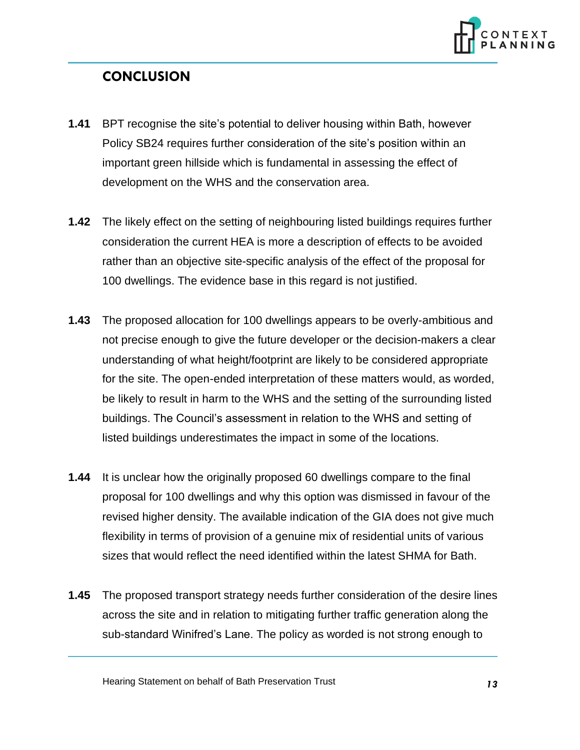

### **CONCLUSION**

- **1.41** BPT recognise the site's potential to deliver housing within Bath, however Policy SB24 requires further consideration of the site's position within an important green hillside which is fundamental in assessing the effect of development on the WHS and the conservation area.
- **1.42** The likely effect on the setting of neighbouring listed buildings requires further consideration the current HEA is more a description of effects to be avoided rather than an objective site-specific analysis of the effect of the proposal for 100 dwellings. The evidence base in this regard is not justified.
- **1.43** The proposed allocation for 100 dwellings appears to be overly-ambitious and not precise enough to give the future developer or the decision-makers a clear understanding of what height/footprint are likely to be considered appropriate for the site. The open-ended interpretation of these matters would, as worded, be likely to result in harm to the WHS and the setting of the surrounding listed buildings. The Council's assessment in relation to the WHS and setting of listed buildings underestimates the impact in some of the locations.
- **1.44** It is unclear how the originally proposed 60 dwellings compare to the final proposal for 100 dwellings and why this option was dismissed in favour of the revised higher density. The available indication of the GIA does not give much flexibility in terms of provision of a genuine mix of residential units of various sizes that would reflect the need identified within the latest SHMA for Bath.
- **1.45** The proposed transport strategy needs further consideration of the desire lines across the site and in relation to mitigating further traffic generation along the sub-standard Winifred's Lane. The policy as worded is not strong enough to